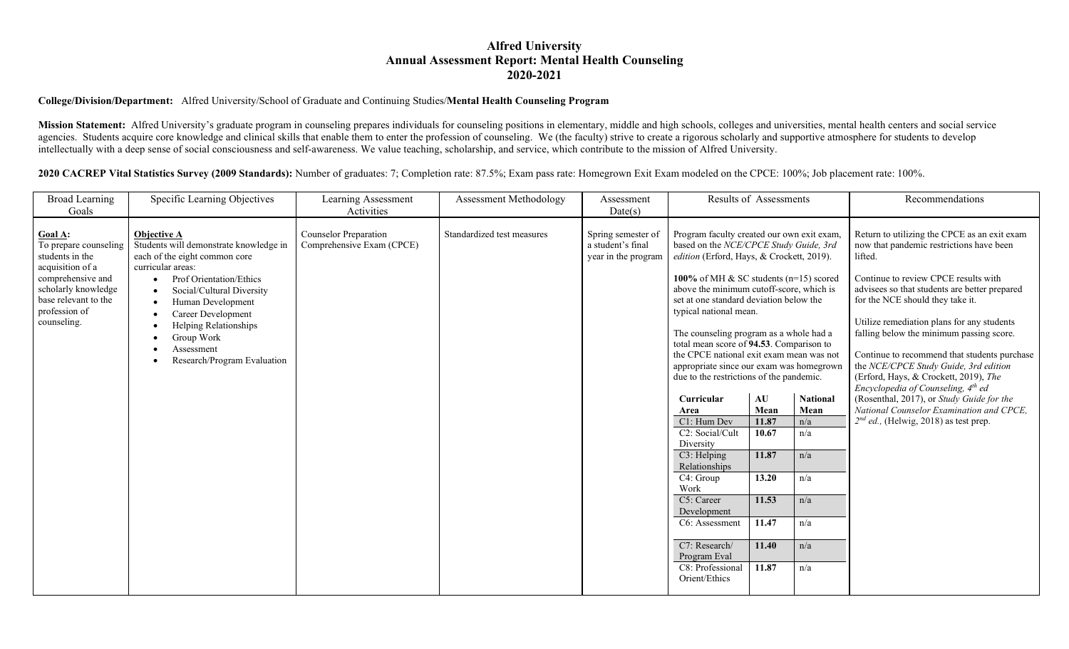## **Alfred University Annual Assessment Report: Mental Health Counseling 2020-2021**

## **College/Division/Department:** Alfred University/School of Graduate and Continuing Studies/**Mental Health Counseling Program**

Mission Statement: Alfred University's graduate program in counseling prepares individuals for counseling positions in elementary, middle and high schools, colleges and universities, mental health centers and social servic agencies. Students acquire core knowledge and clinical skills that enable them to enter the profession of counseling. We (the faculty) strive to create a rigorous scholarly and supportive atmosphere for students to develop intellectually with a deep sense of social consciousness and self-awareness. We value teaching, scholarship, and service, which contribute to the mission of Alfred University.

**2020 CACREP Vital Statistics Survey (2009 Standards):** Number of graduates: 7; Completion rate: 87.5%; Exam pass rate: Homegrown Exit Exam modeled on the CPCE: 100%; Job placement rate: 100%.

| <b>Broad Learning</b>                                                          | Specific Learning Objectives                                                                                                                                                                                  | <b>Learning Assessment</b>                                | Assessment Methodology     | Assessment                                                     | <b>Results of Assessments</b>                                                                                                                                                                                                                                                                                                                                                                                                                                                                                           |            |                  | Recommendations                                                                                                                                                                                                                                                                                                                                                                             |
|--------------------------------------------------------------------------------|---------------------------------------------------------------------------------------------------------------------------------------------------------------------------------------------------------------|-----------------------------------------------------------|----------------------------|----------------------------------------------------------------|-------------------------------------------------------------------------------------------------------------------------------------------------------------------------------------------------------------------------------------------------------------------------------------------------------------------------------------------------------------------------------------------------------------------------------------------------------------------------------------------------------------------------|------------|------------------|---------------------------------------------------------------------------------------------------------------------------------------------------------------------------------------------------------------------------------------------------------------------------------------------------------------------------------------------------------------------------------------------|
| Goals                                                                          |                                                                                                                                                                                                               | Activities                                                |                            | Date(s)                                                        |                                                                                                                                                                                                                                                                                                                                                                                                                                                                                                                         |            |                  |                                                                                                                                                                                                                                                                                                                                                                                             |
| <b>Goal A:</b><br>To prepare counseling<br>students in the<br>acquisition of a | <b>Objective A</b><br>Students will demonstrate knowledge in<br>each of the eight common core<br>curricular areas:                                                                                            | <b>Counselor Preparation</b><br>Comprehensive Exam (CPCE) | Standardized test measures | Spring semester of<br>a student's final<br>year in the program | Program faculty created our own exit exam,<br>based on the NCE/CPCE Study Guide, 3rd<br>edition (Erford, Hays, & Crockett, 2019).<br>100% of MH & SC students (n=15) scored<br>above the minimum cutoff-score, which is<br>set at one standard deviation below the<br>typical national mean.<br>The counseling program as a whole had a<br>total mean score of 94.53. Comparison to<br>the CPCE national exit exam mean was not<br>appropriate since our exam was homegrown<br>due to the restrictions of the pandemic. |            |                  | Return to utilizing the CPCE as an exit exam<br>now that pandemic restrictions have been<br>lifted.                                                                                                                                                                                                                                                                                         |
| comprehensive and<br>scholarly knowledge<br>base relevant to the               | Prof Orientation/Ethics<br>Social/Cultural Diversity<br>$\bullet$<br>Human Development<br>$\bullet$<br>Career Development<br>Helping Relationships<br>Group Work<br>Assessment<br>Research/Program Evaluation |                                                           |                            |                                                                |                                                                                                                                                                                                                                                                                                                                                                                                                                                                                                                         |            |                  | Continue to review CPCE results with<br>advisees so that students are better prepared<br>for the NCE should they take it.<br>Utilize remediation plans for any students<br>falling below the minimum passing score.<br>Continue to recommend that students purchase<br>the NCE/CPCE Study Guide, 3rd edition<br>(Erford, Hays, & Crockett, 2019), The<br>Encyclopedia of Counseling, 4th ed |
| profession of<br>counseling.                                                   |                                                                                                                                                                                                               |                                                           |                            |                                                                |                                                                                                                                                                                                                                                                                                                                                                                                                                                                                                                         |            |                  |                                                                                                                                                                                                                                                                                                                                                                                             |
|                                                                                |                                                                                                                                                                                                               |                                                           |                            |                                                                |                                                                                                                                                                                                                                                                                                                                                                                                                                                                                                                         |            |                  |                                                                                                                                                                                                                                                                                                                                                                                             |
|                                                                                |                                                                                                                                                                                                               |                                                           |                            |                                                                |                                                                                                                                                                                                                                                                                                                                                                                                                                                                                                                         |            |                  |                                                                                                                                                                                                                                                                                                                                                                                             |
|                                                                                |                                                                                                                                                                                                               |                                                           |                            |                                                                | Curricular<br>Area                                                                                                                                                                                                                                                                                                                                                                                                                                                                                                      | AU<br>Mean | National<br>Mean | (Rosenthal, 2017), or Study Guide for the<br>National Counselor Examination and CPCE,                                                                                                                                                                                                                                                                                                       |
|                                                                                |                                                                                                                                                                                                               |                                                           |                            |                                                                | C1: Hum Dev                                                                                                                                                                                                                                                                                                                                                                                                                                                                                                             | 11.87      | n/a              | $2^{nd}$ ed., (Helwig, 2018) as test prep.                                                                                                                                                                                                                                                                                                                                                  |
|                                                                                |                                                                                                                                                                                                               |                                                           |                            |                                                                | C2: Social/Cult<br>Diversity                                                                                                                                                                                                                                                                                                                                                                                                                                                                                            | 10.67      | n/a              |                                                                                                                                                                                                                                                                                                                                                                                             |
|                                                                                |                                                                                                                                                                                                               |                                                           |                            |                                                                | C3: Helping                                                                                                                                                                                                                                                                                                                                                                                                                                                                                                             | 11.87      | n/a              |                                                                                                                                                                                                                                                                                                                                                                                             |
|                                                                                |                                                                                                                                                                                                               |                                                           |                            |                                                                | Relationships<br>C4: Group                                                                                                                                                                                                                                                                                                                                                                                                                                                                                              | 13.20      | n/a              |                                                                                                                                                                                                                                                                                                                                                                                             |
|                                                                                |                                                                                                                                                                                                               |                                                           |                            |                                                                | Work<br>C5: Career                                                                                                                                                                                                                                                                                                                                                                                                                                                                                                      | 11.53      | n/a              |                                                                                                                                                                                                                                                                                                                                                                                             |
|                                                                                |                                                                                                                                                                                                               |                                                           |                            |                                                                | Development                                                                                                                                                                                                                                                                                                                                                                                                                                                                                                             |            |                  |                                                                                                                                                                                                                                                                                                                                                                                             |
|                                                                                |                                                                                                                                                                                                               |                                                           |                            |                                                                | C6: Assessment                                                                                                                                                                                                                                                                                                                                                                                                                                                                                                          | 11.47      | n/a              |                                                                                                                                                                                                                                                                                                                                                                                             |
|                                                                                |                                                                                                                                                                                                               |                                                           |                            |                                                                | $\overline{C7}$ : Research/<br>Program Eval                                                                                                                                                                                                                                                                                                                                                                                                                                                                             | 11.40      | n/a              |                                                                                                                                                                                                                                                                                                                                                                                             |
|                                                                                |                                                                                                                                                                                                               |                                                           |                            |                                                                | $\overline{\text{C8}}$ : Professional<br>Orient/Ethics                                                                                                                                                                                                                                                                                                                                                                                                                                                                  | 11.87      | n/a              |                                                                                                                                                                                                                                                                                                                                                                                             |
|                                                                                |                                                                                                                                                                                                               |                                                           |                            |                                                                |                                                                                                                                                                                                                                                                                                                                                                                                                                                                                                                         |            |                  |                                                                                                                                                                                                                                                                                                                                                                                             |